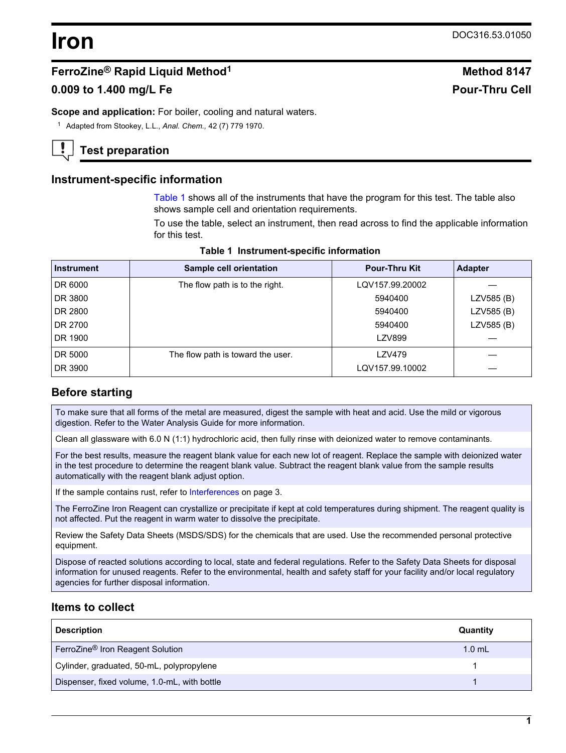# **Iron** DOC316.53.01050

## **FerroZine® Rapid Liquid Method<sup>1</sup> Method 8147**

## **0.009 to 1.400 mg/L Fe Pour-Thru Cell**

**Scope and application:** For boiler, cooling and natural waters.

<sup>1</sup> Adapted from Stookey, L.L., *Anal. Chem.,* 42 (7) 779 1970.

## **Test preparation**

#### **Instrument-specific information**

[Table 1](#page-0-0) shows all of the instruments that have the program for this test. The table also shows sample cell and orientation requirements.

To use the table, select an instrument, then read across to find the applicable information for this test.

<span id="page-0-1"></span><span id="page-0-0"></span>

| <b>Instrument</b> | Sample cell orientation           | <b>Pour-Thru Kit</b> | <b>Adapter</b> |
|-------------------|-----------------------------------|----------------------|----------------|
| DR 6000           | The flow path is to the right.    | LQV157.99.20002      |                |
| DR 3800           |                                   | 5940400              | LZV585 (B)     |
| DR 2800           |                                   | 5940400              | LZV585 (B)     |
| DR 2700           |                                   | 5940400              | LZV585 (B)     |
| DR 1900           |                                   | <b>LZV899</b>        |                |
| DR 5000           | The flow path is toward the user. | <b>LZV479</b>        |                |
| DR 3900           |                                   | LQV157.99.10002      |                |

#### **Table 1 Instrument-specific information**

## **Before starting**

To make sure that all forms of the metal are measured, digest the sample with heat and acid. Use the mild or vigorous digestion. Refer to the Water Analysis Guide for more information.

Clean all glassware with 6.0 N (1:1) hydrochloric acid, then fully rinse with deionized water to remove contaminants.

For the best results, measure the reagent blank value for each new lot of reagent. Replace the sample with deionized water in the test procedure to determine the reagent blank value. Subtract the reagent blank value from the sample results automatically with the reagent blank adjust option.

If the sample contains rust, refer to [Interferences](#page-2-0) on page 3.

The FerroZine Iron Reagent can crystallize or precipitate if kept at cold temperatures during shipment. The reagent quality is not affected. Put the reagent in warm water to dissolve the precipitate.

Review the Safety Data Sheets (MSDS/SDS) for the chemicals that are used. Use the recommended personal protective equipment.

Dispose of reacted solutions according to local, state and federal regulations. Refer to the Safety Data Sheets for disposal information for unused reagents. Refer to the environmental, health and safety staff for your facility and/or local regulatory agencies for further disposal information.

## **Items to collect**

| <b>Description</b>                           | Quantity |
|----------------------------------------------|----------|
| FerroZine <sup>®</sup> Iron Reagent Solution | $1.0$ mL |
| Cylinder, graduated, 50-mL, polypropylene    |          |
| Dispenser, fixed volume, 1.0-mL, with bottle |          |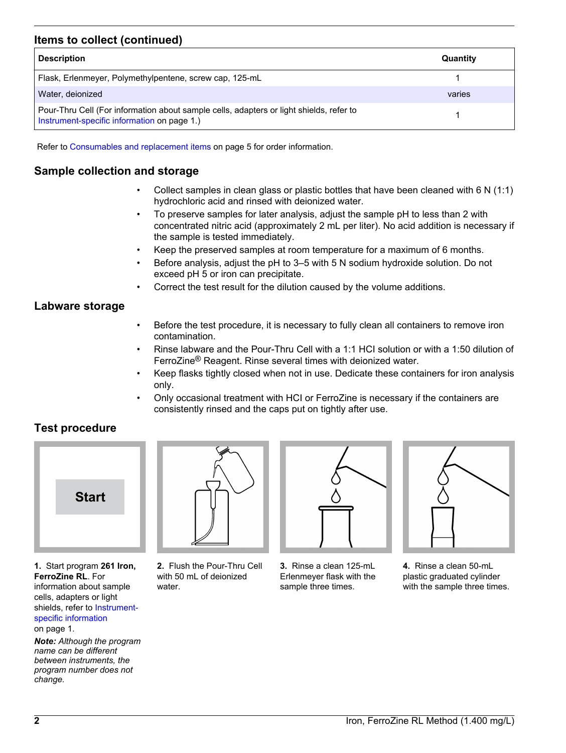## **Items to collect (continued)**

| <b>Description</b>                                                                                                                     | Quantity |
|----------------------------------------------------------------------------------------------------------------------------------------|----------|
| Flask, Erlenmeyer, Polymethylpentene, screw cap, 125-mL                                                                                |          |
| Water, deionized                                                                                                                       | varies   |
| Pour-Thru Cell (For information about sample cells, adapters or light shields, refer to<br>Instrument-specific information on page 1.) |          |

Refer to [Consumables and replacement items](#page-4-0) on page 5 for order information.

## **Sample collection and storage**

- Collect samples in clean glass or plastic bottles that have been cleaned with 6 N (1:1) hydrochloric acid and rinsed with deionized water.
- To preserve samples for later analysis, adjust the sample pH to less than 2 with concentrated nitric acid (approximately 2 mL per liter). No acid addition is necessary if the sample is tested immediately.
- Keep the preserved samples at room temperature for a maximum of 6 months.
- Before analysis, adjust the pH to 3–5 with 5 N sodium hydroxide solution. Do not exceed pH 5 or iron can precipitate.
- Correct the test result for the dilution caused by the volume additions.

#### **Labware storage**

- Before the test procedure, it is necessary to fully clean all containers to remove iron contamination.
- Rinse labware and the Pour-Thru Cell with a 1:1 HCI solution or with a 1:50 dilution of FerroZine® Reagent. Rinse several times with deionized water.
- Keep flasks tightly closed when not in use. Dedicate these containers for iron analysis only.
- Only occasional treatment with HCI or FerroZine is necessary if the containers are consistently rinsed and the caps put on tightly after use.

## **Test procedure**



**1.** Start program **261 Iron, FerroZine RL**. For information about sample cells, adapters or light shields, refer to [Instrument](#page-0-1)[specific information](#page-0-1)

on page 1.

*Note: Although the program name can be different between instruments, the program number does not change.*



**2.** Flush the Pour-Thru Cell with 50 mL of deionized water.



**3.** Rinse a clean 125-mL Erlenmeyer flask with the sample three times.



**4.** Rinse a clean 50-mL plastic graduated cylinder with the sample three times.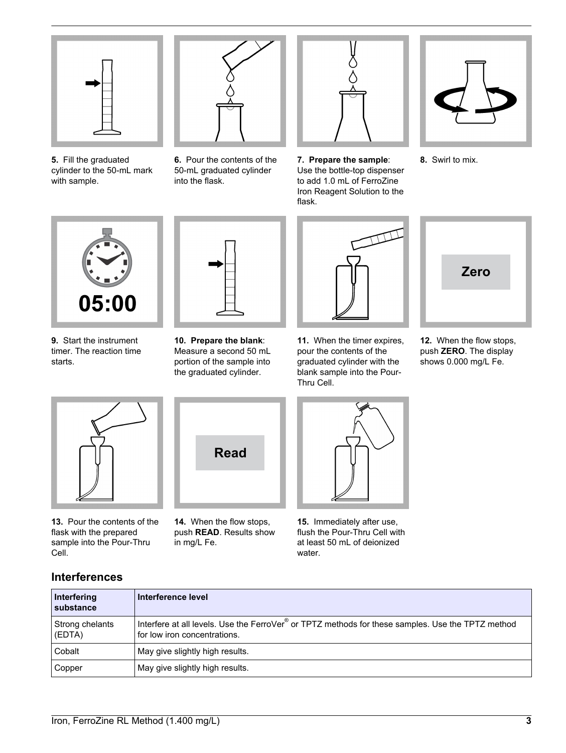

**5.** Fill the graduated cylinder to the 50-mL mark with sample.



**6.** Pour the contents of the 50-mL graduated cylinder into the flask.



**7. Prepare the sample**: Use the bottle-top dispenser to add 1.0 mL of FerroZine Iron Reagent Solution to the flask.



**8.** Swirl to mix.



**9.** Start the instrument timer. The reaction time starts.



**10. Prepare the blank**: Measure a second 50 mL portion of the sample into the graduated cylinder.



**11.** When the timer expires, pour the contents of the graduated cylinder with the blank sample into the Pour-Thru Cell.



**12.** When the flow stops, push **ZERO**. The display shows 0.000 mg/L Fe.

<span id="page-2-0"></span>

**13.** Pour the contents of the flask with the prepared sample into the Pour-Thru Cell.



**14.** When the flow stops, push **READ**. Results show in mg/L Fe.



**15.** Immediately after use, flush the Pour-Thru Cell with at least 50 mL of deionized water.

## **Interferences**

| Interfering<br><b>substance</b> | Interference level                                                                                                                |
|---------------------------------|-----------------------------------------------------------------------------------------------------------------------------------|
| Strong chelants<br>(EDTA)       | Interfere at all levels. Use the FerroVer® or TPTZ methods for these samples. Use the TPTZ method<br>for low iron concentrations. |
| Cobalt                          | May give slightly high results.                                                                                                   |
| Copper                          | May give slightly high results.                                                                                                   |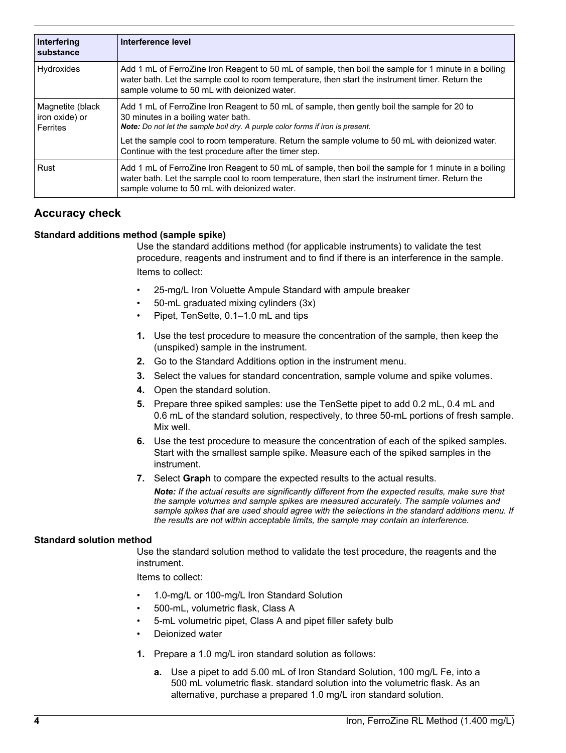| Interfering<br>substance                       | Interference level                                                                                                                                                                                                                                        |
|------------------------------------------------|-----------------------------------------------------------------------------------------------------------------------------------------------------------------------------------------------------------------------------------------------------------|
| Hydroxides                                     | Add 1 mL of FerroZine Iron Reagent to 50 mL of sample, then boil the sample for 1 minute in a boiling<br>water bath. Let the sample cool to room temperature, then start the instrument timer. Return the<br>sample volume to 50 mL with deionized water. |
| Magnetite (black<br>iron oxide) or<br>Ferrites | Add 1 mL of FerroZine Iron Reagent to 50 mL of sample, then gently boil the sample for 20 to<br>30 minutes in a boiling water bath.<br>Note: Do not let the sample boil dry. A purple color forms if iron is present.                                     |
|                                                | Let the sample cool to room temperature. Return the sample volume to 50 mL with deionized water.<br>Continue with the test procedure after the timer step.                                                                                                |
| Rust                                           | Add 1 mL of FerroZine Iron Reagent to 50 mL of sample, then boil the sample for 1 minute in a boiling<br>water bath. Let the sample cool to room temperature, then start the instrument timer. Return the<br>sample volume to 50 mL with deionized water. |

## **Accuracy check**

#### **Standard additions method (sample spike)**

Use the standard additions method (for applicable instruments) to validate the test procedure, reagents and instrument and to find if there is an interference in the sample. Items to collect:

- 25-mg/L Iron Voluette Ampule Standard with ampule breaker
- 50-mL graduated mixing cylinders (3x)
- Pipet, TenSette, 0.1–1.0 mL and tips
- **1.** Use the test procedure to measure the concentration of the sample, then keep the (unspiked) sample in the instrument.
- **2.** Go to the Standard Additions option in the instrument menu.
- **3.** Select the values for standard concentration, sample volume and spike volumes.
- **4.** Open the standard solution.
- **5.** Prepare three spiked samples: use the TenSette pipet to add 0.2 mL, 0.4 mL and 0.6 mL of the standard solution, respectively, to three 50-mL portions of fresh sample. Mix well.
- **6.** Use the test procedure to measure the concentration of each of the spiked samples. Start with the smallest sample spike. Measure each of the spiked samples in the instrument.
- **7.** Select **Graph** to compare the expected results to the actual results.

*Note: If the actual results are significantly different from the expected results, make sure that the sample volumes and sample spikes are measured accurately. The sample volumes and sample spikes that are used should agree with the selections in the standard additions menu. If the results are not within acceptable limits, the sample may contain an interference.*

#### **Standard solution method**

Use the standard solution method to validate the test procedure, the reagents and the instrument.

Items to collect:

- 1.0-mg/L or 100-mg/L Iron Standard Solution
- 500-mL, volumetric flask, Class A
- 5-mL volumetric pipet, Class A and pipet filler safety bulb
- Deionized water
- **1.** Prepare a 1.0 mg/L iron standard solution as follows:
	- **a.** Use a pipet to add 5.00 mL of Iron Standard Solution, 100 mg/L Fe, into a 500 mL volumetric flask. standard solution into the volumetric flask. As an alternative, purchase a prepared 1.0 mg/L iron standard solution.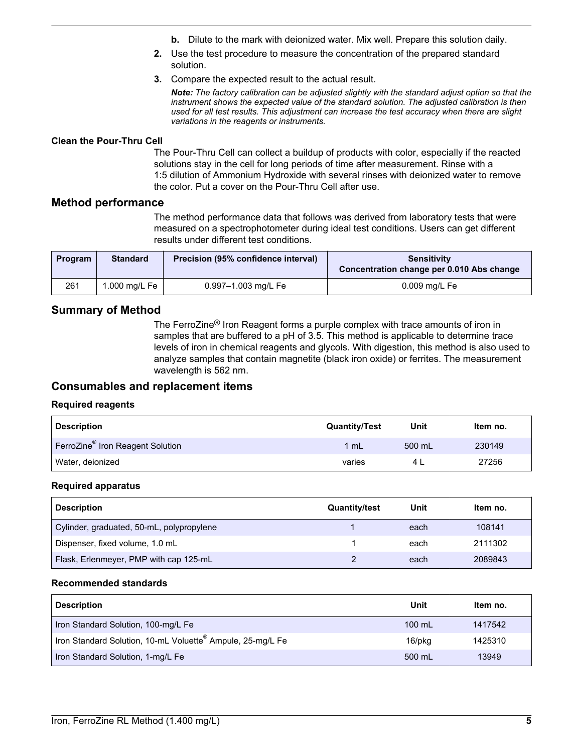- **b.** Dilute to the mark with deionized water. Mix well. Prepare this solution daily.
- **2.** Use the test procedure to measure the concentration of the prepared standard solution.
- **3.** Compare the expected result to the actual result.

*Note: The factory calibration can be adjusted slightly with the standard adjust option so that the instrument shows the expected value of the standard solution. The adjusted calibration is then used for all test results. This adjustment can increase the test accuracy when there are slight variations in the reagents or instruments.*

#### **Clean the Pour-Thru Cell**

The Pour-Thru Cell can collect a buildup of products with color, especially if the reacted solutions stay in the cell for long periods of time after measurement. Rinse with a 1:5 dilution of Ammonium Hydroxide with several rinses with deionized water to remove the color. Put a cover on the Pour-Thru Cell after use.

#### **Method performance**

The method performance data that follows was derived from laboratory tests that were measured on a spectrophotometer during ideal test conditions. Users can get different results under different test conditions.

| Program | <b>Standard</b> | Precision (95% confidence interval) | <b>Sensitivity</b><br>Concentration change per 0.010 Abs change |
|---------|-----------------|-------------------------------------|-----------------------------------------------------------------|
| 261     | 1.000 mg/L Fe   | 0.997-1.003 mg/L Fe                 | 0.009 mg/L Fe                                                   |

#### **Summary of Method**

The FerroZine® Iron Reagent forms a purple complex with trace amounts of iron in samples that are buffered to a pH of 3.5. This method is applicable to determine trace levels of iron in chemical reagents and glycols. With digestion, this method is also used to analyze samples that contain magnetite (black iron oxide) or ferrites. The measurement wavelength is 562 nm.

#### **Consumables and replacement items**

#### **Required reagents**

| <b>Description</b>                           | <b>Quantity/Test</b> | Unit   | Item no. |
|----------------------------------------------|----------------------|--------|----------|
| FerroZine <sup>®</sup> Iron Reagent Solution | $1 \text{ mL}$       | 500 mL | 230149   |
| Water, deionized                             | varies               |        | 27256    |

#### **Required apparatus**

<span id="page-4-0"></span>

| <b>Description</b>                        | <b>Quantity/test</b> | Unit | Item no. |
|-------------------------------------------|----------------------|------|----------|
| Cylinder, graduated, 50-mL, polypropylene |                      | each | 108141   |
| Dispenser, fixed volume, 1.0 mL           |                      | each | 2111302  |
| Flask, Erlenmeyer, PMP with cap 125-mL    |                      | each | 2089843  |

#### **Recommended standards**

| <b>Description</b>                                                     | Unit             | ltem no. |
|------------------------------------------------------------------------|------------------|----------|
| Iron Standard Solution, 100-mg/L Fe                                    | $100 \text{ mL}$ | 1417542  |
| Iron Standard Solution, 10-mL Voluette <sup>®</sup> Ampule, 25-mg/L Fe | 16/pkg           | 1425310  |
| Iron Standard Solution, 1-mg/L Fe                                      | 500 mL           | 13949    |